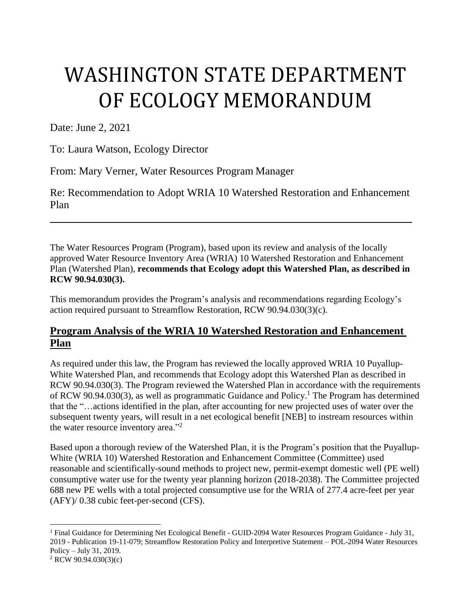# WASHINGTON STATE DEPARTMENT OF ECOLOGY MEMORANDUM

Date: June 2, 2021

To: Laura Watson, Ecology Director

From: Mary Verner, Water Resources Program Manager

Re: Recommendation to Adopt WRIA 10 Watershed Restoration and Enhancement Plan

The Water Resources Program (Program), based upon its review and analysis of the locally approved Water Resource Inventory Area (WRIA) 10 Watershed Restoration and Enhancement Plan (Watershed Plan), **recommends that Ecology adopt this Watershed Plan, as described in RCW 90.94.030(3).**

This memorandum provides the Program's analysis and recommendations regarding Ecology's action required pursuant to Streamflow Restoration, RCW 90.94.030(3)(c).

# **Program Analysis of the WRIA 10 Watershed Restoration and Enhancement Plan**

As required under this law, the Program has reviewed the locally approved WRIA 10 Puyallup-White Watershed Plan, and recommends that Ecology adopt this Watershed Plan as described in RCW 90.94.030(3). The Program reviewed the Watershed Plan in accordance with the requirements of RCW 90.94.030(3), as well as programmatic Guidance and Policy. <sup>1</sup> The Program has determined that the "…actions identified in the plan, after accounting for new projected uses of water over the subsequent twenty years, will result in a net ecological benefit [NEB] to instream resources within the water resource inventory area."<sup>2</sup>

Based upon a thorough review of the Watershed Plan, it is the Program's position that the Puyallup-White (WRIA 10) Watershed Restoration and Enhancement Committee (Committee) used reasonable and scientifically-sound methods to project new, permit-exempt domestic well (PE well) consumptive water use for the twenty year planning horizon (2018-2038). The Committee projected 688 new PE wells with a total projected consumptive use for the WRIA of 277.4 acre-feet per year (AFY)/ 0.38 cubic feet-per-second (CFS).

 $\overline{a}$ 

<sup>&</sup>lt;sup>1</sup> Final Guidance for Determining Net Ecological Benefit - GUID-2094 Water Resources Program Guidance - July 31, 2019 - Publication 19-11-079; Streamflow Restoration Policy and Interpretive Statement – POL-2094 Water Resources Policy – July 31, 2019.

<sup>2</sup> RCW 90.94.030(3)(c)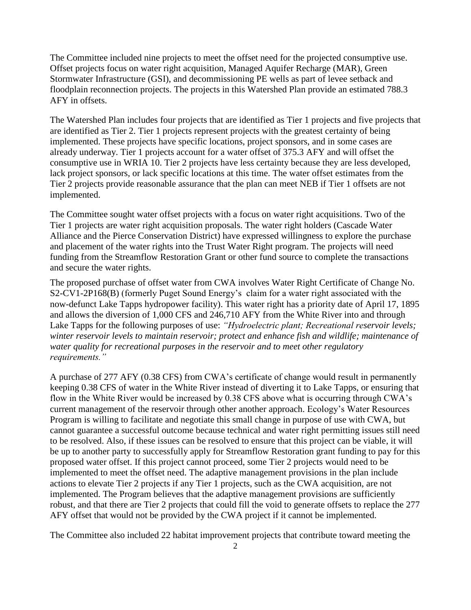The Committee included nine projects to meet the offset need for the projected consumptive use. Offset projects focus on water right acquisition, Managed Aquifer Recharge (MAR), Green Stormwater Infrastructure (GSI), and decommissioning PE wells as part of levee setback and floodplain reconnection projects. The projects in this Watershed Plan provide an estimated 788.3 AFY in offsets.

The Watershed Plan includes four projects that are identified as Tier 1 projects and five projects that are identified as Tier 2. Tier 1 projects represent projects with the greatest certainty of being implemented. These projects have specific locations, project sponsors, and in some cases are already underway. Tier 1 projects account for a water offset of 375.3 AFY and will offset the consumptive use in WRIA 10. Tier 2 projects have less certainty because they are less developed, lack project sponsors, or lack specific locations at this time. The water offset estimates from the Tier 2 projects provide reasonable assurance that the plan can meet NEB if Tier 1 offsets are not implemented.

The Committee sought water offset projects with a focus on water right acquisitions. Two of the Tier 1 projects are water right acquisition proposals. The water right holders (Cascade Water Alliance and the Pierce Conservation District) have expressed willingness to explore the purchase and placement of the water rights into the Trust Water Right program. The projects will need funding from the Streamflow Restoration Grant or other fund source to complete the transactions and secure the water rights.

The proposed purchase of offset water from CWA involves Water Right Certificate of Change No. S2-CV1-2P168(B) (formerly Puget Sound Energy's claim for a water right associated with the now-defunct Lake Tapps hydropower facility). This water right has a priority date of April 17, 1895 and allows the diversion of 1,000 CFS and 246,710 AFY from the White River into and through Lake Tapps for the following purposes of use: *"Hydroelectric plant; Recreational reservoir levels; winter reservoir levels to maintain reservoir; protect and enhance fish and wildlife; maintenance of water quality for recreational purposes in the reservoir and to meet other regulatory requirements."* 

A purchase of 277 AFY (0.38 CFS) from CWA's certificate of change would result in permanently keeping 0.38 CFS of water in the White River instead of diverting it to Lake Tapps, or ensuring that flow in the White River would be increased by 0.38 CFS above what is occurring through CWA's current management of the reservoir through other another approach. Ecology's Water Resources Program is willing to facilitate and negotiate this small change in purpose of use with CWA, but cannot guarantee a successful outcome because technical and water right permitting issues still need to be resolved. Also, if these issues can be resolved to ensure that this project can be viable, it will be up to another party to successfully apply for Streamflow Restoration grant funding to pay for this proposed water offset. If this project cannot proceed, some Tier 2 projects would need to be implemented to meet the offset need. The adaptive management provisions in the plan include actions to elevate Tier 2 projects if any Tier 1 projects, such as the CWA acquisition, are not implemented. The Program believes that the adaptive management provisions are sufficiently robust, and that there are Tier 2 projects that could fill the void to generate offsets to replace the 277 AFY offset that would not be provided by the CWA project if it cannot be implemented.

The Committee also included 22 habitat improvement projects that contribute toward meeting the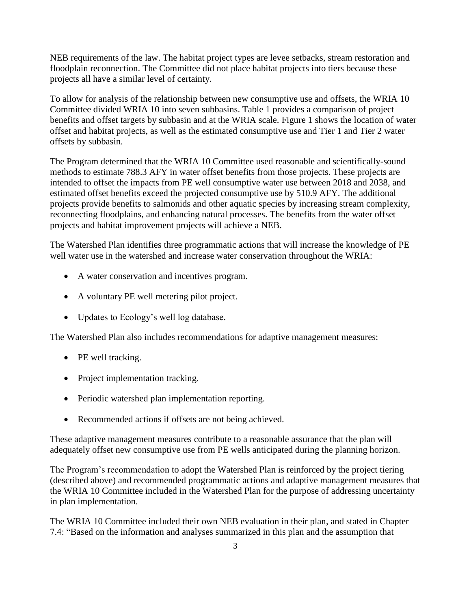NEB requirements of the law. The habitat project types are levee setbacks, stream restoration and floodplain reconnection. The Committee did not place habitat projects into tiers because these projects all have a similar level of certainty.

To allow for analysis of the relationship between new consumptive use and offsets, the WRIA 10 Committee divided WRIA 10 into seven subbasins. Table 1 provides a comparison of project benefits and offset targets by subbasin and at the WRIA scale. Figure 1 shows the location of water offset and habitat projects, as well as the estimated consumptive use and Tier 1 and Tier 2 water offsets by subbasin.

The Program determined that the WRIA 10 Committee used reasonable and scientifically-sound methods to estimate 788.3 AFY in water offset benefits from those projects. These projects are intended to offset the impacts from PE well consumptive water use between 2018 and 2038, and estimated offset benefits exceed the projected consumptive use by 510.9 AFY. The additional projects provide benefits to salmonids and other aquatic species by increasing stream complexity, reconnecting floodplains, and enhancing natural processes. The benefits from the water offset projects and habitat improvement projects will achieve a NEB.

The Watershed Plan identifies three programmatic actions that will increase the knowledge of PE well water use in the watershed and increase water conservation throughout the WRIA:

- A water conservation and incentives program.
- A voluntary PE well metering pilot project.
- Updates to Ecology's well log database.

The Watershed Plan also includes recommendations for adaptive management measures:

- PE well tracking.
- Project implementation tracking.
- Periodic watershed plan implementation reporting.
- Recommended actions if offsets are not being achieved.

These adaptive management measures contribute to a reasonable assurance that the plan will adequately offset new consumptive use from PE wells anticipated during the planning horizon.

The Program's recommendation to adopt the Watershed Plan is reinforced by the project tiering (described above) and recommended programmatic actions and adaptive management measures that the WRIA 10 Committee included in the Watershed Plan for the purpose of addressing uncertainty in plan implementation.

The WRIA 10 Committee included their own NEB evaluation in their plan, and stated in Chapter 7.4: "Based on the information and analyses summarized in this plan and the assumption that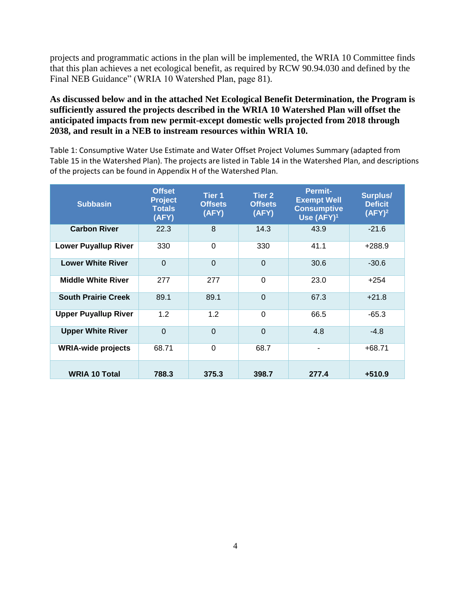projects and programmatic actions in the plan will be implemented, the WRIA 10 Committee finds that this plan achieves a net ecological benefit, as required by RCW 90.94.030 and defined by the Final NEB Guidance" (WRIA 10 Watershed Plan, page 81).

**As discussed below and in the attached Net Ecological Benefit Determination, the Program is sufficiently assured the projects described in the WRIA 10 Watershed Plan will offset the anticipated impacts from new permit-except domestic wells projected from 2018 through 2038, and result in a NEB to instream resources within WRIA 10.**

Table 1: Consumptive Water Use Estimate and Water Offset Project Volumes Summary (adapted from Table 15 in the Watershed Plan). The projects are listed in Table 14 in the Watershed Plan, and descriptions of the projects can be found in Appendix H of the Watershed Plan.

| <b>Subbasin</b>             | <b>Offset</b><br><b>Project</b><br><b>Totals</b><br>(AFY) | Tier 1<br><b>Offsets</b><br>(AFY) | Tier 2<br><b>Offsets</b><br>(AFY) | <b>Permit-</b><br><b>Exempt Well</b><br><b>Consumptive</b><br>Use $(AFY)^1$ | Surplus/<br><b>Deficit</b><br>$(AFY)^2$ |
|-----------------------------|-----------------------------------------------------------|-----------------------------------|-----------------------------------|-----------------------------------------------------------------------------|-----------------------------------------|
| <b>Carbon River</b>         | 22.3                                                      | 8                                 | 14.3                              | 43.9                                                                        | $-21.6$                                 |
| <b>Lower Puyallup River</b> | 330                                                       | 0                                 | 330                               | 41.1                                                                        | $+288.9$                                |
| <b>Lower White River</b>    | $\overline{0}$                                            | $\Omega$                          | $\overline{0}$                    | 30.6                                                                        | $-30.6$                                 |
| <b>Middle White River</b>   | 277                                                       | 277                               | $\Omega$                          | 23.0                                                                        | $+254$                                  |
| <b>South Prairie Creek</b>  | 89.1                                                      | 89.1                              | $\Omega$                          | 67.3                                                                        | $+21.8$                                 |
| <b>Upper Puyallup River</b> | 1.2                                                       | 1.2                               | $\Omega$                          | 66.5                                                                        | $-65.3$                                 |
| <b>Upper White River</b>    | $\Omega$                                                  | $\Omega$                          | $\Omega$                          | 4.8                                                                         | $-4.8$                                  |
| <b>WRIA-wide projects</b>   | 68.71                                                     | $\Omega$                          | 68.7                              | $\qquad \qquad \blacksquare$                                                | $+68.71$                                |
| <b>WRIA 10 Total</b>        | 788.3                                                     | 375.3                             | 398.7                             | 277.4                                                                       | $+510.9$                                |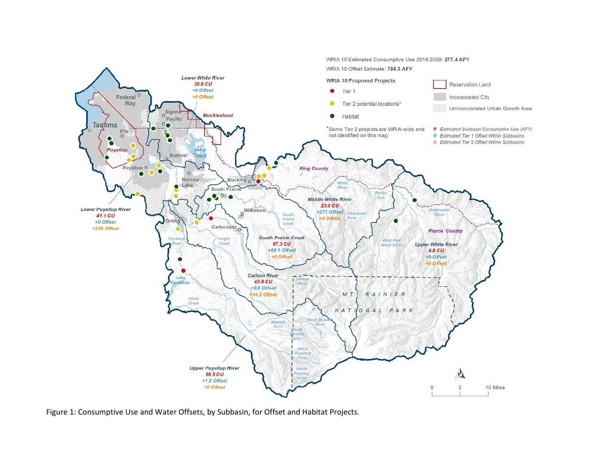

Figure 1*:* Consumptive Use and Water Offsets, by Subbasin, for Offset and Habitat Projects.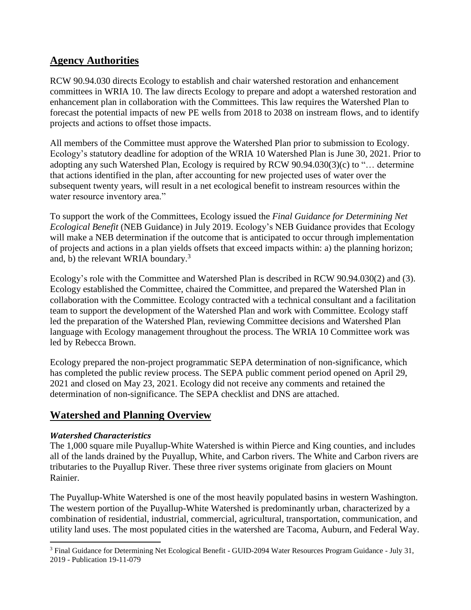# **Agency Authorities**

RCW 90.94.030 directs Ecology to establish and chair watershed restoration and enhancement committees in WRIA 10. The law directs Ecology to prepare and adopt a watershed restoration and enhancement plan in collaboration with the Committees. This law requires the Watershed Plan to forecast the potential impacts of new PE wells from 2018 to 2038 on instream flows, and to identify projects and actions to offset those impacts.

All members of the Committee must approve the Watershed Plan prior to submission to Ecology. Ecology's statutory deadline for adoption of the WRIA 10 Watershed Plan is June 30, 2021. Prior to adopting any such Watershed Plan, Ecology is required by RCW 90.94.030(3)(c) to "… determine that actions identified in the plan, after accounting for new projected uses of water over the subsequent twenty years, will result in a net ecological benefit to instream resources within the water resource inventory area."

To support the work of the Committees, Ecology issued the *Final Guidance for Determining Net Ecological Benefit* (NEB Guidance) in July 2019. Ecology's NEB Guidance provides that Ecology will make a NEB determination if the outcome that is anticipated to occur through implementation of projects and actions in a plan yields offsets that exceed impacts within: a) the planning horizon; and, b) the relevant WRIA boundary.<sup>3</sup>

Ecology's role with the Committee and Watershed Plan is described in RCW 90.94.030(2) and (3). Ecology established the Committee, chaired the Committee, and prepared the Watershed Plan in collaboration with the Committee. Ecology contracted with a technical consultant and a facilitation team to support the development of the Watershed Plan and work with Committee. Ecology staff led the preparation of the Watershed Plan, reviewing Committee decisions and Watershed Plan language with Ecology management throughout the process. The WRIA 10 Committee work was led by Rebecca Brown.

Ecology prepared the non-project programmatic SEPA determination of non-significance, which has completed the public review process. The SEPA public comment period opened on April 29, 2021 and closed on May 23, 2021. Ecology did not receive any comments and retained the determination of non-significance. The SEPA checklist and DNS are attached.

# **Watershed and Planning Overview**

### *Watershed Characteristics*

The 1,000 square mile Puyallup-White Watershed is within Pierce and King counties, and includes all of the lands drained by the Puyallup, White, and Carbon rivers. The White and Carbon rivers are tributaries to the Puyallup River. These three river systems originate from glaciers on Mount Rainier.

The Puyallup-White Watershed is one of the most heavily populated basins in western Washington. The western portion of the Puyallup-White Watershed is predominantly urban, characterized by a combination of residential, industrial, commercial, agricultural, transportation, communication, and utility land uses. The most populated cities in the watershed are Tacoma, Auburn, and Federal Way.

l <sup>3</sup> Final Guidance for Determining Net Ecological Benefit - GUID-2094 Water Resources Program Guidance - July 31, 2019 - Publication 19-11-079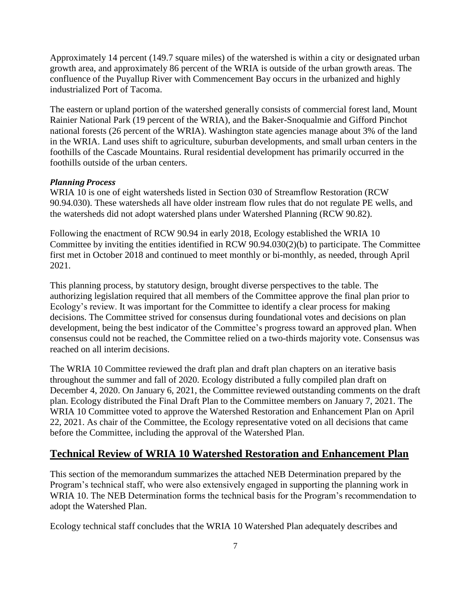Approximately 14 percent (149.7 square miles) of the watershed is within a city or designated urban growth area, and approximately 86 percent of the WRIA is outside of the urban growth areas. The confluence of the Puyallup River with Commencement Bay occurs in the urbanized and highly industrialized Port of Tacoma.

The eastern or upland portion of the watershed generally consists of commercial forest land, Mount Rainier National Park (19 percent of the WRIA), and the Baker-Snoqualmie and Gifford Pinchot national forests (26 percent of the WRIA). Washington state agencies manage about 3% of the land in the WRIA. Land uses shift to agriculture, suburban developments, and small urban centers in the foothills of the Cascade Mountains. Rural residential development has primarily occurred in the foothills outside of the urban centers.

#### *Planning Process*

WRIA 10 is one of eight watersheds listed in Section 030 of Streamflow Restoration (RCW 90.94.030). These watersheds all have older instream flow rules that do not regulate PE wells, and the watersheds did not adopt watershed plans under Watershed Planning (RCW 90.82).

Following the enactment of RCW 90.94 in early 2018, Ecology established the WRIA 10 Committee by inviting the entities identified in RCW 90.94.030(2)(b) to participate. The Committee first met in October 2018 and continued to meet monthly or bi-monthly, as needed, through April 2021.

This planning process, by statutory design, brought diverse perspectives to the table. The authorizing legislation required that all members of the Committee approve the final plan prior to Ecology's review. It was important for the Committee to identify a clear process for making decisions. The Committee strived for consensus during foundational votes and decisions on plan development, being the best indicator of the Committee's progress toward an approved plan. When consensus could not be reached, the Committee relied on a two-thirds majority vote. Consensus was reached on all interim decisions.

The WRIA 10 Committee reviewed the draft plan and draft plan chapters on an iterative basis throughout the summer and fall of 2020. Ecology distributed a fully compiled plan draft on December 4, 2020. On January 6, 2021, the Committee reviewed outstanding comments on the draft plan. Ecology distributed the Final Draft Plan to the Committee members on January 7, 2021. The WRIA 10 Committee voted to approve the Watershed Restoration and Enhancement Plan on April 22, 2021. As chair of the Committee, the Ecology representative voted on all decisions that came before the Committee, including the approval of the Watershed Plan.

#### **Technical Review of WRIA 10 Watershed Restoration and Enhancement Plan**

This section of the memorandum summarizes the attached NEB Determination prepared by the Program's technical staff, who were also extensively engaged in supporting the planning work in WRIA 10. The NEB Determination forms the technical basis for the Program's recommendation to adopt the Watershed Plan.

Ecology technical staff concludes that the WRIA 10 Watershed Plan adequately describes and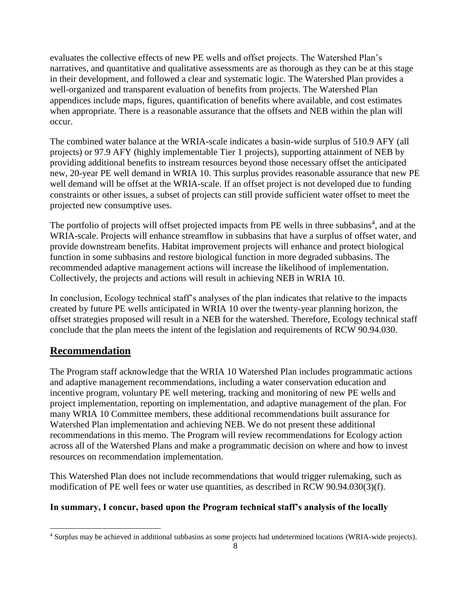evaluates the collective effects of new PE wells and offset projects. The Watershed Plan's narratives, and quantitative and qualitative assessments are as thorough as they can be at this stage in their development, and followed a clear and systematic logic. The Watershed Plan provides a well-organized and transparent evaluation of benefits from projects. The Watershed Plan appendices include maps, figures, quantification of benefits where available, and cost estimates when appropriate. There is a reasonable assurance that the offsets and NEB within the plan will occur.

The combined water balance at the WRIA-scale indicates a basin-wide surplus of 510.9 AFY (all projects) or 97.9 AFY (highly implementable Tier 1 projects), supporting attainment of NEB by providing additional benefits to instream resources beyond those necessary offset the anticipated new, 20-year PE well demand in WRIA 10. This surplus provides reasonable assurance that new PE well demand will be offset at the WRIA-scale. If an offset project is not developed due to funding constraints or other issues, a subset of projects can still provide sufficient water offset to meet the projected new consumptive uses.

The portfolio of projects will offset projected impacts from PE wells in three subbasins<sup>4</sup>, and at the WRIA-scale. Projects will enhance streamflow in subbasins that have a surplus of offset water, and provide downstream benefits. Habitat improvement projects will enhance and protect biological function in some subbasins and restore biological function in more degraded subbasins. The recommended adaptive management actions will increase the likelihood of implementation. Collectively, the projects and actions will result in achieving NEB in WRIA 10.

In conclusion, Ecology technical staff's analyses of the plan indicates that relative to the impacts created by future PE wells anticipated in WRIA 10 over the twenty-year planning horizon, the offset strategies proposed will result in a NEB for the watershed. Therefore, Ecology technical staff conclude that the plan meets the intent of the legislation and requirements of RCW 90.94.030.

# **Recommendation**

 $\overline{\phantom{a}}$ 

The Program staff acknowledge that the WRIA 10 Watershed Plan includes programmatic actions and adaptive management recommendations, including a water conservation education and incentive program, voluntary PE well metering, tracking and monitoring of new PE wells and project implementation, reporting on implementation, and adaptive management of the plan. For many WRIA 10 Committee members, these additional recommendations built assurance for Watershed Plan implementation and achieving NEB. We do not present these additional recommendations in this memo. The Program will review recommendations for Ecology action across all of the Watershed Plans and make a programmatic decision on where and how to invest resources on recommendation implementation.

This Watershed Plan does not include recommendations that would trigger rulemaking, such as modification of PE well fees or water use quantities, as described in RCW 90.94.030(3)(f).

#### **In summary, I concur, based upon the Program technical staff's analysis of the locally**

<sup>4</sup> Surplus may be achieved in additional subbasins as some projects had undetermined locations (WRIA-wide projects).